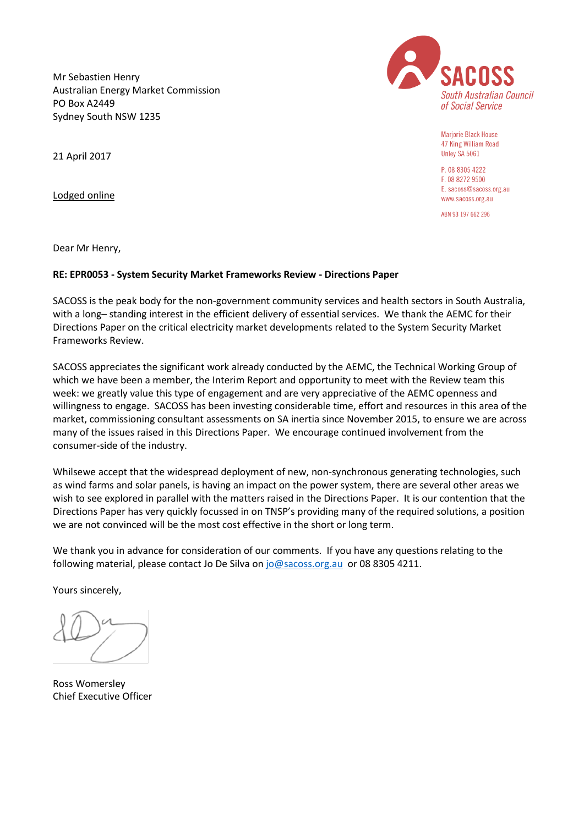Mr Sebastien Henry Australian Energy Market Commission PO Box A2449 Sydney South NSW 1235



Marjorie Black House 47 King William Road Unley SA 5061

P. 08 8305 4222 F. 08 8272 9500 E. sacoss@sacoss.org.au www.sacoss.org.au

ABN 93 197 662 296

21 April 2017

Lodged online

Dear Mr Henry,

# **RE: EPR0053 - System Security Market Frameworks Review - Directions Paper**

SACOSS is the peak body for the non-government community services and health sectors in South Australia, with a long-standing interest in the efficient delivery of essential services. We thank the AEMC for their Directions Paper on the critical electricity market developments related to the System Security Market Frameworks Review.

SACOSS appreciates the significant work already conducted by the AEMC, the Technical Working Group of which we have been a member, the Interim Report and opportunity to meet with the Review team this week: we greatly value this type of engagement and are very appreciative of the AEMC openness and willingness to engage. SACOSS has been investing considerable time, effort and resources in this area of the market, commissioning consultant assessments on SA inertia since November 2015, to ensure we are across many of the issues raised in this Directions Paper. We encourage continued involvement from the consumer-side of the industry.

Whilsewe accept that the widespread deployment of new, non-synchronous generating technologies, such as wind farms and solar panels, is having an impact on the power system, there are several other areas we wish to see explored in parallel with the matters raised in the Directions Paper. It is our contention that the Directions Paper has very quickly focussed in on TNSP's providing many of the required solutions, a position we are not convinced will be the most cost effective in the short or long term.

We thank you in advance for consideration of our comments. If you have any questions relating to the following material, please contact Jo De Silva on [jo@sacoss.org.au](mailto:jo@sacoss.org.au) or 08 8305 4211.

Yours sincerely,

Ross Womersley Chief Executive Officer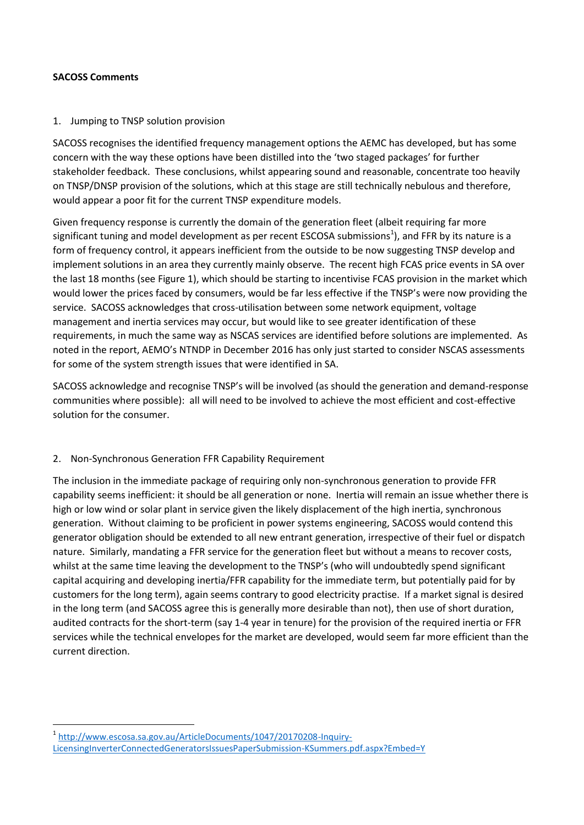### **SACOSS Comments**

<u>.</u>

#### 1. Jumping to TNSP solution provision

SACOSS recognises the identified frequency management options the AEMC has developed, but has some concern with the way these options have been distilled into the 'two staged packages' for further stakeholder feedback. These conclusions, whilst appearing sound and reasonable, concentrate too heavily on TNSP/DNSP provision of the solutions, which at this stage are still technically nebulous and therefore, would appear a poor fit for the current TNSP expenditure models.

Given frequency response is currently the domain of the generation fleet (albeit requiring far more significant tuning and model development as per recent ESCOSA submissions<sup>1</sup>), and FFR by its nature is a form of frequency control, it appears inefficient from the outside to be now suggesting TNSP develop and implement solutions in an area they currently mainly observe. The recent high FCAS price events in SA over the last 18 months (see Figure 1), which should be starting to incentivise FCAS provision in the market which would lower the prices faced by consumers, would be far less effective if the TNSP's were now providing the service. SACOSS acknowledges that cross-utilisation between some network equipment, voltage management and inertia services may occur, but would like to see greater identification of these requirements, in much the same way as NSCAS services are identified before solutions are implemented. As noted in the report, AEMO's NTNDP in December 2016 has only just started to consider NSCAS assessments for some of the system strength issues that were identified in SA.

SACOSS acknowledge and recognise TNSP's will be involved (as should the generation and demand-response communities where possible): all will need to be involved to achieve the most efficient and cost-effective solution for the consumer.

### 2. Non-Synchronous Generation FFR Capability Requirement

The inclusion in the immediate package of requiring only non-synchronous generation to provide FFR capability seems inefficient: it should be all generation or none. Inertia will remain an issue whether there is high or low wind or solar plant in service given the likely displacement of the high inertia, synchronous generation. Without claiming to be proficient in power systems engineering, SACOSS would contend this generator obligation should be extended to all new entrant generation, irrespective of their fuel or dispatch nature. Similarly, mandating a FFR service for the generation fleet but without a means to recover costs, whilst at the same time leaving the development to the TNSP's (who will undoubtedly spend significant capital acquiring and developing inertia/FFR capability for the immediate term, but potentially paid for by customers for the long term), again seems contrary to good electricity practise. If a market signal is desired in the long term (and SACOSS agree this is generally more desirable than not), then use of short duration, audited contracts for the short-term (say 1-4 year in tenure) for the provision of the required inertia or FFR services while the technical envelopes for the market are developed, would seem far more efficient than the current direction.

<sup>1</sup> [http://www.escosa.sa.gov.au/ArticleDocuments/1047/20170208-Inquiry-](http://www.escosa.sa.gov.au/ArticleDocuments/1047/20170208-Inquiry-LicensingInverterConnectedGeneratorsIssuesPaperSubmission-KSummers.pdf.aspx?Embed=Y)[LicensingInverterConnectedGeneratorsIssuesPaperSubmission-KSummers.pdf.aspx?Embed=Y](http://www.escosa.sa.gov.au/ArticleDocuments/1047/20170208-Inquiry-LicensingInverterConnectedGeneratorsIssuesPaperSubmission-KSummers.pdf.aspx?Embed=Y)